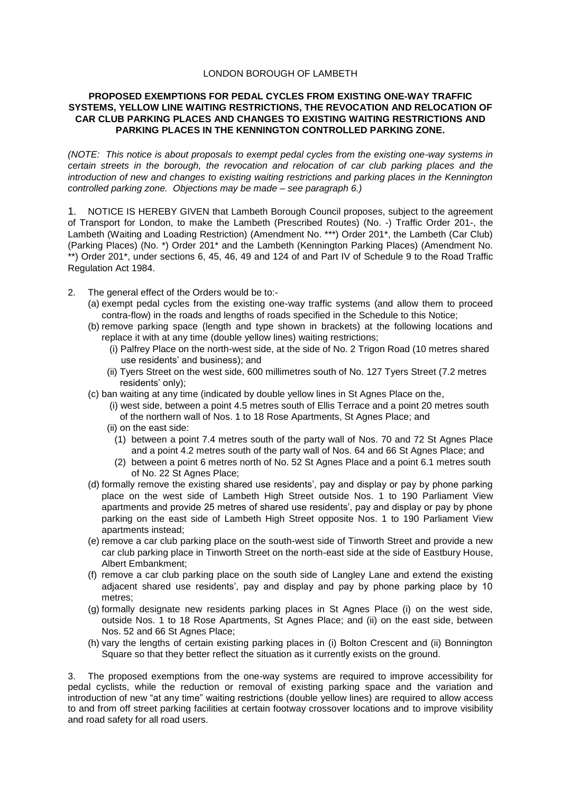## LONDON BOROUGH OF LAMBETH

## **PROPOSED EXEMPTIONS FOR PEDAL CYCLES FROM EXISTING ONE-WAY TRAFFIC SYSTEMS, YELLOW LINE WAITING RESTRICTIONS, THE REVOCATION AND RELOCATION OF CAR CLUB PARKING PLACES AND CHANGES TO EXISTING WAITING RESTRICTIONS AND PARKING PLACES IN THE KENNINGTON CONTROLLED PARKING ZONE.**

*(NOTE: This notice is about proposals to exempt pedal cycles from the existing one-way systems in certain streets in the borough, the revocation and relocation of car club parking places and the introduction of new and changes to existing waiting restrictions and parking places in the Kennington controlled parking zone. Objections may be made – see paragraph 6.)*

1. NOTICE IS HEREBY GIVEN that Lambeth Borough Council proposes, subject to the agreement of Transport for London, to make the Lambeth (Prescribed Routes) (No. -) Traffic Order 201-, the Lambeth (Waiting and Loading Restriction) (Amendment No. \*\*\*) Order 201\*, the Lambeth (Car Club) (Parking Places) (No. \*) Order 201\* and the Lambeth (Kennington Parking Places) (Amendment No. \*\*) Order 201\*, under sections 6, 45, 46, 49 and 124 of and Part IV of Schedule 9 to the Road Traffic Regulation Act 1984.

- 2. The general effect of the Orders would be to:-
	- (a) exempt pedal cycles from the existing one-way traffic systems (and allow them to proceed contra-flow) in the roads and lengths of roads specified in the Schedule to this Notice;
	- (b) remove parking space (length and type shown in brackets) at the following locations and replace it with at any time (double yellow lines) waiting restrictions;
		- (i) Palfrey Place on the north-west side, at the side of No. 2 Trigon Road (10 metres shared use residents' and business); and
		- (ii) Tyers Street on the west side, 600 millimetres south of No. 127 Tyers Street (7.2 metres residents' only);
	- (c) ban waiting at any time (indicated by double yellow lines in St Agnes Place on the,
		- (i) west side, between a point 4.5 metres south of Ellis Terrace and a point 20 metres south of the northern wall of Nos. 1 to 18 Rose Apartments, St Agnes Place; and
		- (ii) on the east side:
			- (1) between a point 7.4 metres south of the party wall of Nos. 70 and 72 St Agnes Place and a point 4.2 metres south of the party wall of Nos. 64 and 66 St Agnes Place; and
			- (2) between a point 6 metres north of No. 52 St Agnes Place and a point 6.1 metres south of No. 22 St Agnes Place;
	- (d) formally remove the existing shared use residents', pay and display or pay by phone parking place on the west side of Lambeth High Street outside Nos. 1 to 190 Parliament View apartments and provide 25 metres of shared use residents', pay and display or pay by phone parking on the east side of Lambeth High Street opposite Nos. 1 to 190 Parliament View apartments instead;
	- (e) remove a car club parking place on the south-west side of Tinworth Street and provide a new car club parking place in Tinworth Street on the north-east side at the side of Eastbury House, Albert Embankment;
	- (f) remove a car club parking place on the south side of Langley Lane and extend the existing adjacent shared use residents', pay and display and pay by phone parking place by 10 metres;
	- (g) formally designate new residents parking places in St Agnes Place (i) on the west side, outside Nos. 1 to 18 Rose Apartments, St Agnes Place; and (ii) on the east side, between Nos. 52 and 66 St Agnes Place;
	- (h) vary the lengths of certain existing parking places in (i) Bolton Crescent and (ii) Bonnington Square so that they better reflect the situation as it currently exists on the ground.

3. The proposed exemptions from the one-way systems are required to improve accessibility for pedal cyclists, while the reduction or removal of existing parking space and the variation and introduction of new "at any time" waiting restrictions (double yellow lines) are required to allow access to and from off street parking facilities at certain footway crossover locations and to improve visibility and road safety for all road users.